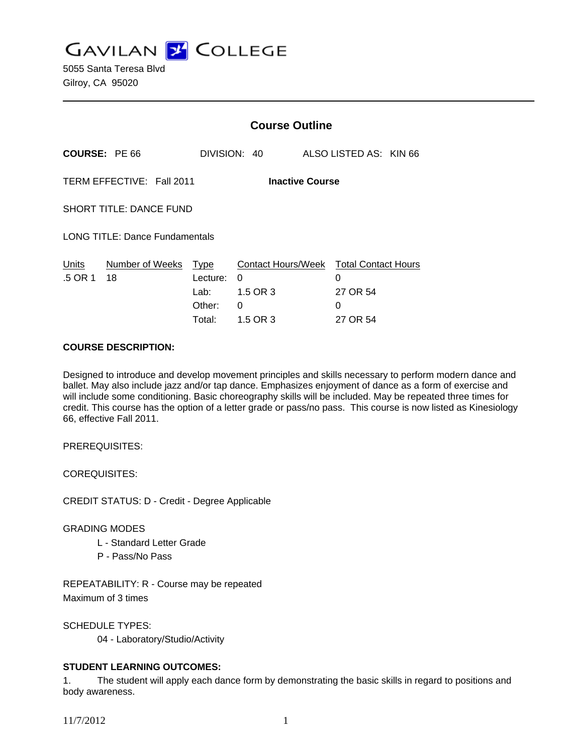**GAVILAN J COLLEGE** 

|                                | <b>Course Outline</b>  |                                                                           |                          |                    |                                                                              |
|--------------------------------|------------------------|---------------------------------------------------------------------------|--------------------------|--------------------|------------------------------------------------------------------------------|
| <b>COURSE: PE 66</b>           |                        |                                                                           |                          |                    |                                                                              |
|                                | <b>Inactive Course</b> |                                                                           |                          |                    |                                                                              |
| SHORT TITLE: DANCE FUND        |                        |                                                                           |                          |                    |                                                                              |
| LONG TITLE: Dance Fundamentals |                        |                                                                           |                          |                    |                                                                              |
| Number of Weeks<br>18          |                        | 0<br>1.5 OR 3<br>0                                                        |                          | 0<br>27 OR 54<br>0 |                                                                              |
|                                |                        | TERM EFFECTIVE: Fall 2011<br>Type<br>Lecture:<br>Lab:<br>Other:<br>Total: | DIVISION: 40<br>1.5 OR 3 |                    | ALSO LISTED AS: KIN 66<br>Contact Hours/Week Total Contact Hours<br>27 OR 54 |

### **COURSE DESCRIPTION:**

Designed to introduce and develop movement principles and skills necessary to perform modern dance and ballet. May also include jazz and/or tap dance. Emphasizes enjoyment of dance as a form of exercise and will include some conditioning. Basic choreography skills will be included. May be repeated three times for credit. This course has the option of a letter grade or pass/no pass. This course is now listed as Kinesiology 66, effective Fall 2011.

PREREQUISITES:

COREQUISITES:

CREDIT STATUS: D - Credit - Degree Applicable

#### GRADING MODES

- L Standard Letter Grade
- P Pass/No Pass

REPEATABILITY: R - Course may be repeated Maximum of 3 times

SCHEDULE TYPES:

04 - Laboratory/Studio/Activity

## **STUDENT LEARNING OUTCOMES:**

1. The student will apply each dance form by demonstrating the basic skills in regard to positions and body awareness.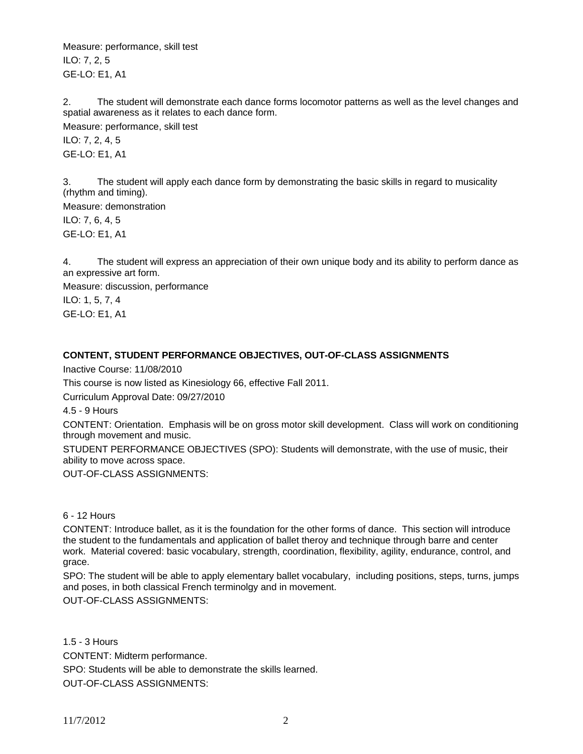Measure: performance, skill test ILO: 7, 2, 5 GE-LO: E1, A1

2. The student will demonstrate each dance forms locomotor patterns as well as the level changes and spatial awareness as it relates to each dance form. Measure: performance, skill test ILO: 7, 2, 4, 5 GE-LO: E1, A1

3. The student will apply each dance form by demonstrating the basic skills in regard to musicality (rhythm and timing). Measure: demonstration ILO: 7, 6, 4, 5 GE-LO: E1, A1

4. The student will express an appreciation of their own unique body and its ability to perform dance as an expressive art form.

Measure: discussion, performance ILO: 1, 5, 7, 4 GE-LO: E1, A1

# **CONTENT, STUDENT PERFORMANCE OBJECTIVES, OUT-OF-CLASS ASSIGNMENTS**

Inactive Course: 11/08/2010

This course is now listed as Kinesiology 66, effective Fall 2011.

Curriculum Approval Date: 09/27/2010

4.5 - 9 Hours

CONTENT: Orientation. Emphasis will be on gross motor skill development. Class will work on conditioning through movement and music.

STUDENT PERFORMANCE OBJECTIVES (SPO): Students will demonstrate, with the use of music, their ability to move across space.

OUT-OF-CLASS ASSIGNMENTS:

6 - 12 Hours

CONTENT: Introduce ballet, as it is the foundation for the other forms of dance. This section will introduce the student to the fundamentals and application of ballet theroy and technique through barre and center work. Material covered: basic vocabulary, strength, coordination, flexibility, agility, endurance, control, and grace.

SPO: The student will be able to apply elementary ballet vocabulary, including positions, steps, turns, jumps and poses, in both classical French terminolgy and in movement.

OUT-OF-CLASS ASSIGNMENTS:

1.5 - 3 Hours CONTENT: Midterm performance. SPO: Students will be able to demonstrate the skills learned. OUT-OF-CLASS ASSIGNMENTS: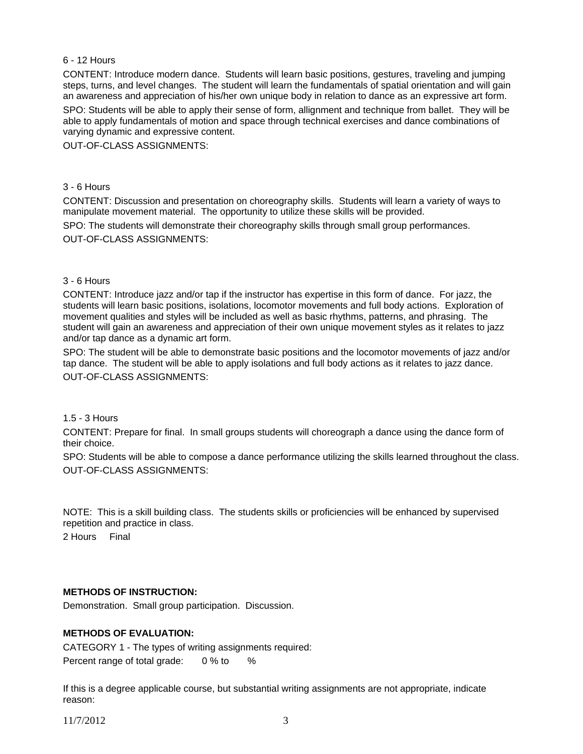### 6 - 12 Hours

CONTENT: Introduce modern dance. Students will learn basic positions, gestures, traveling and jumping steps, turns, and level changes. The student will learn the fundamentals of spatial orientation and will gain an awareness and appreciation of his/her own unique body in relation to dance as an expressive art form.

SPO: Students will be able to apply their sense of form, allignment and technique from ballet. They will be able to apply fundamentals of motion and space through technical exercises and dance combinations of varying dynamic and expressive content.

OUT-OF-CLASS ASSIGNMENTS:

### 3 - 6 Hours

CONTENT: Discussion and presentation on choreography skills. Students will learn a variety of ways to manipulate movement material. The opportunity to utilize these skills will be provided.

SPO: The students will demonstrate their choreography skills through small group performances. OUT-OF-CLASS ASSIGNMENTS:

### 3 - 6 Hours

CONTENT: Introduce jazz and/or tap if the instructor has expertise in this form of dance. For jazz, the students will learn basic positions, isolations, locomotor movements and full body actions. Exploration of movement qualities and styles will be included as well as basic rhythms, patterns, and phrasing. The student will gain an awareness and appreciation of their own unique movement styles as it relates to jazz and/or tap dance as a dynamic art form.

SPO: The student will be able to demonstrate basic positions and the locomotor movements of jazz and/or tap dance. The student will be able to apply isolations and full body actions as it relates to jazz dance. OUT-OF-CLASS ASSIGNMENTS:

#### 1.5 - 3 Hours

CONTENT: Prepare for final. In small groups students will choreograph a dance using the dance form of their choice.

SPO: Students will be able to compose a dance performance utilizing the skills learned throughout the class. OUT-OF-CLASS ASSIGNMENTS:

NOTE: This is a skill building class. The students skills or proficiencies will be enhanced by supervised repetition and practice in class.

2 Hours Final

## **METHODS OF INSTRUCTION:**

Demonstration. Small group participation. Discussion.

## **METHODS OF EVALUATION:**

CATEGORY 1 - The types of writing assignments required: Percent range of total grade: 0 % to %

If this is a degree applicable course, but substantial writing assignments are not appropriate, indicate reason:

11/7/2012 3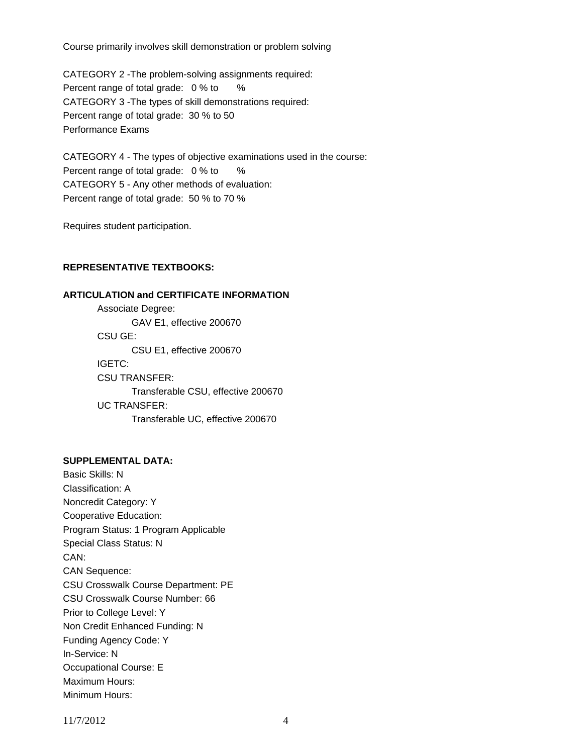Course primarily involves skill demonstration or problem solving

CATEGORY 2 -The problem-solving assignments required: Percent range of total grade: 0 % to % CATEGORY 3 -The types of skill demonstrations required: Percent range of total grade: 30 % to 50 Performance Exams

CATEGORY 4 - The types of objective examinations used in the course: Percent range of total grade: 0 % to % CATEGORY 5 - Any other methods of evaluation: Percent range of total grade: 50 % to 70 %

Requires student participation.

## **REPRESENTATIVE TEXTBOOKS:**

### **ARTICULATION and CERTIFICATE INFORMATION**

 Associate Degree: GAV E1, effective 200670 CSU GE: CSU E1, effective 200670 IGETC: CSU TRANSFER: Transferable CSU, effective 200670 UC TRANSFER: Transferable UC, effective 200670

## **SUPPLEMENTAL DATA:**

Basic Skills: N Classification: A Noncredit Category: Y Cooperative Education: Program Status: 1 Program Applicable Special Class Status: N CAN: CAN Sequence: CSU Crosswalk Course Department: PE CSU Crosswalk Course Number: 66 Prior to College Level: Y Non Credit Enhanced Funding: N Funding Agency Code: Y In-Service: N Occupational Course: E Maximum Hours: Minimum Hours: